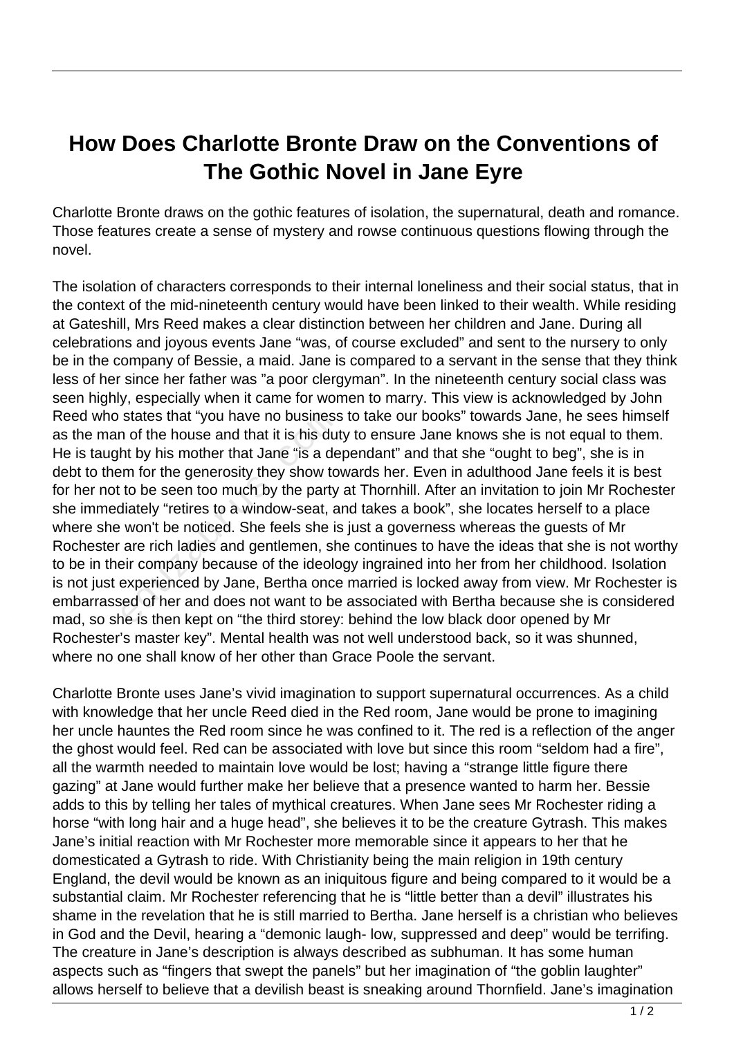## **How Does Charlotte Bronte Draw on the Conventions of The Gothic Novel in Jane Eyre**

Charlotte Bronte draws on the gothic features of isolation, the supernatural, death and romance. Those features create a sense of mystery and rowse continuous questions flowing through the novel.

The isolation of characters corresponds to their internal loneliness and their social status, that in the context of the mid-nineteenth century would have been linked to their wealth. While residing at Gateshill, Mrs Reed makes a clear distinction between her children and Jane. During all celebrations and joyous events Jane "was, of course excluded" and sent to the nursery to only be in the company of Bessie, a maid. Jane is compared to a servant in the sense that they think less of her since her father was "a poor clergyman". In the nineteenth century social class was seen highly, especially when it came for women to marry. This view is acknowledged by John Reed who states that "you have no business to take our books" towards Jane, he sees himself as the man of the house and that it is his duty to ensure Jane knows she is not equal to them. He is taught by his mother that Jane "is a dependant" and that she "ought to beg", she is in debt to them for the generosity they show towards her. Even in adulthood Jane feels it is best for her not to be seen too much by the party at Thornhill. After an invitation to join Mr Rochester she immediately "retires to a window-seat, and takes a book", she locates herself to a place where she won't be noticed. She feels she is just a governess whereas the guests of Mr Rochester are rich ladies and gentlemen, she continues to have the ideas that she is not worthy to be in their company because of the ideology ingrained into her from her childhood. Isolation is not just experienced by Jane, Bertha once married is locked away from view. Mr Rochester is embarrassed of her and does not want to be associated with Bertha because she is considered mad, so she is then kept on "the third storey: behind the low black door opened by Mr Rochester's master key". Mental health was not well understood back, so it was shunned, where no one shall know of her other than Grace Poole the servant. states that "you have no business<br>a of the house and that it is his dut<br>ht by his mother that Jane "is a de<br>m for the generosity they show to<br>to be seen too much by the party<br>liately "retires to a window-seat, a<br>won't be n

Charlotte Bronte uses Jane's vivid imagination to support supernatural occurrences. As a child with knowledge that her uncle Reed died in the Red room, Jane would be prone to imagining her uncle hauntes the Red room since he was confined to it. The red is a reflection of the anger the ghost would feel. Red can be associated with love but since this room "seldom had a fire", all the warmth needed to maintain love would be lost; having a "strange little figure there gazing" at Jane would further make her believe that a presence wanted to harm her. Bessie adds to this by telling her tales of mythical creatures. When Jane sees Mr Rochester riding a horse "with long hair and a huge head", she believes it to be the creature Gytrash. This makes Jane's initial reaction with Mr Rochester more memorable since it appears to her that he domesticated a Gytrash to ride. With Christianity being the main religion in 19th century England, the devil would be known as an iniquitous figure and being compared to it would be a substantial claim. Mr Rochester referencing that he is "little better than a devil" illustrates his shame in the revelation that he is still married to Bertha. Jane herself is a christian who believes in God and the Devil, hearing a "demonic laugh- low, suppressed and deep" would be terrifing. The creature in Jane's description is always described as subhuman. It has some human aspects such as "fingers that swept the panels" but her imagination of "the goblin laughter" allows herself to believe that a devilish beast is sneaking around Thornfield. Jane's imagination